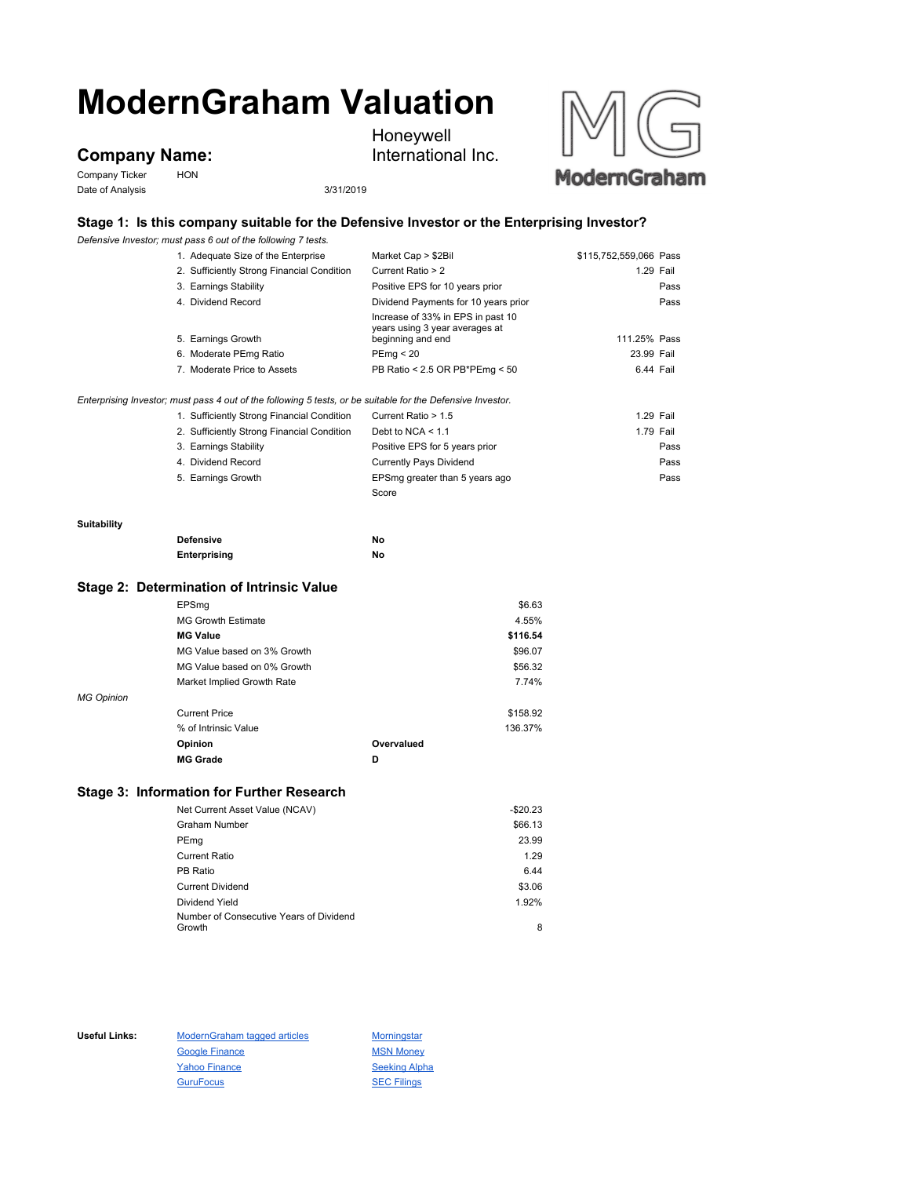# **ModernGraham Valuation**

## **Company Name:**

Company Ticker HON Date of Analysis 3/31/2019

Honeywell International Inc.



### **Stage 1: Is this company suitable for the Defensive Investor or the Enterprising Investor?**

*Defensive Investor; must pass 6 out of the following 7 tests.*

|                    | <u>, pononov o mvodici, madi pado o odi originalming ritodio.</u>                                           |                                                                                          |                        |      |
|--------------------|-------------------------------------------------------------------------------------------------------------|------------------------------------------------------------------------------------------|------------------------|------|
|                    | 1. Adequate Size of the Enterprise                                                                          | Market Cap > \$2Bil                                                                      | \$115,752,559,066 Pass |      |
|                    | 2. Sufficiently Strong Financial Condition                                                                  | Current Ratio > 2                                                                        | 1.29 Fail              |      |
|                    | 3. Earnings Stability                                                                                       | Positive EPS for 10 years prior                                                          |                        | Pass |
|                    | 4. Dividend Record                                                                                          | Dividend Payments for 10 years prior                                                     |                        | Pass |
|                    | 5. Earnings Growth                                                                                          | Increase of 33% in EPS in past 10<br>years using 3 year averages at<br>beginning and end | 111.25% Pass           |      |
|                    | 6. Moderate PEmg Ratio                                                                                      | PEmg < 20                                                                                | 23.99 Fail             |      |
|                    | 7. Moderate Price to Assets                                                                                 | PB Ratio < 2.5 OR PB*PEmg < 50                                                           | 6.44 Fail              |      |
|                    | Enterprising Investor; must pass 4 out of the following 5 tests, or be suitable for the Defensive Investor. |                                                                                          |                        |      |
|                    | 1. Sufficiently Strong Financial Condition                                                                  | Current Ratio > 1.5                                                                      | 1.29 Fail              |      |
|                    | 2. Sufficiently Strong Financial Condition                                                                  | Debt to NCA $<$ 1.1                                                                      | 1.79 Fail              |      |
|                    | 3. Earnings Stability                                                                                       | Positive EPS for 5 years prior                                                           |                        | Pass |
|                    | 4. Dividend Record                                                                                          | <b>Currently Pays Dividend</b>                                                           |                        | Pass |
|                    | 5. Earnings Growth                                                                                          | EPSmg greater than 5 years ago                                                           |                        | Pass |
|                    |                                                                                                             | Score                                                                                    |                        |      |
| <b>Suitability</b> |                                                                                                             |                                                                                          |                        |      |
|                    | <b>Defensive</b>                                                                                            | No                                                                                       |                        |      |

**Enterprising No**

#### **Stage 2: Determination of Intrinsic Value**

|                             |            | \$6.63   |
|-----------------------------|------------|----------|
| <b>MG Growth Estimate</b>   |            | 4.55%    |
| <b>MG Value</b>             |            | \$116.54 |
| MG Value based on 3% Growth |            | \$96.07  |
| MG Value based on 0% Growth |            | \$56.32  |
| Market Implied Growth Rate  |            | 7.74%    |
|                             |            |          |
| <b>Current Price</b>        |            | \$158.92 |
| % of Intrinsic Value        |            | 136.37%  |
| Opinion                     | Overvalued |          |
| <b>MG Grade</b>             | D          |          |
|                             | EPSmg      |          |

#### **Stage 3: Information for Further Research**

| Net Current Asset Value (NCAV)          | $-$20.23$ |
|-----------------------------------------|-----------|
| <b>Graham Number</b>                    | \$66.13   |
| PEmg                                    | 23.99     |
| <b>Current Ratio</b>                    | 1.29      |
| PB Ratio                                | 6.44      |
| <b>Current Dividend</b>                 | \$3.06    |
| Dividend Yield                          | 1.92%     |
| Number of Consecutive Years of Dividend |           |
| Growth                                  | 8         |

Useful Links: ModernGraham tagged articles Morningstar Google Finance MSN Money Yahoo Finance Seeking Alpha GuruFocus **SEC Filings**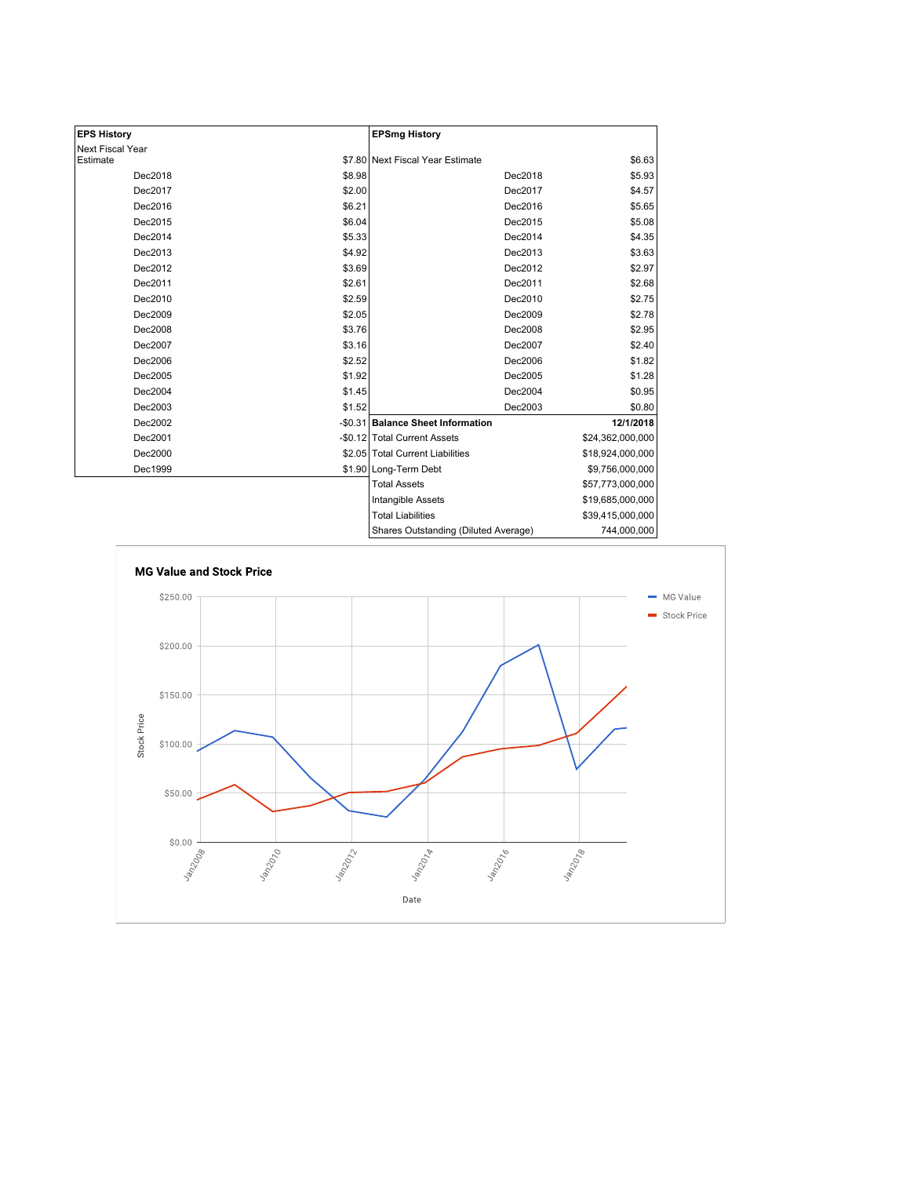| <b>EPS History</b>           |        | <b>EPSmg History</b>                 |                  |
|------------------------------|--------|--------------------------------------|------------------|
| Next Fiscal Year<br>Estimate |        | \$7.80 Next Fiscal Year Estimate     | \$6.63           |
|                              |        |                                      |                  |
| Dec2018                      | \$8.98 | Dec2018                              | \$5.93           |
| Dec2017                      | \$2.00 | Dec2017                              | \$4.57           |
| Dec2016                      | \$6.21 | Dec2016                              | \$5.65           |
| Dec2015                      | \$6.04 | Dec2015                              | \$5.08           |
| Dec2014                      | \$5.33 | Dec2014                              | \$4.35           |
| Dec2013                      | \$4.92 | Dec2013                              | \$3.63           |
| Dec2012                      | \$3.69 | Dec2012                              | \$2.97           |
| Dec2011                      | \$2.61 | Dec2011                              | \$2.68           |
| Dec2010                      | \$2.59 | Dec2010                              | \$2.75           |
| Dec2009                      | \$2.05 | Dec2009                              | \$2.78           |
| Dec2008                      | \$3.76 | Dec2008                              | \$2.95           |
| Dec2007                      | \$3.16 | Dec2007                              | \$2.40           |
| Dec2006                      | \$2.52 | Dec2006                              | \$1.82           |
| Dec2005                      | \$1.92 | Dec2005                              | \$1.28           |
| Dec2004                      | \$1.45 | Dec2004                              | \$0.95           |
| Dec2003                      | \$1.52 | Dec2003                              | \$0.80           |
| Dec2002                      |        | -\$0.31 Balance Sheet Information    | 12/1/2018        |
| Dec2001                      |        | -\$0.12 Total Current Assets         | \$24,362,000,000 |
| Dec2000                      |        | \$2.05 Total Current Liabilities     | \$18,924,000,000 |
| Dec1999                      |        | \$1.90 Long-Term Debt                | \$9,756,000,000  |
|                              |        | <b>Total Assets</b>                  | \$57,773,000,000 |
|                              |        | Intangible Assets                    | \$19,685,000,000 |
|                              |        | <b>Total Liabilities</b>             | \$39,415,000,000 |
|                              |        | Shares Outstanding (Diluted Average) | 744,000,000      |